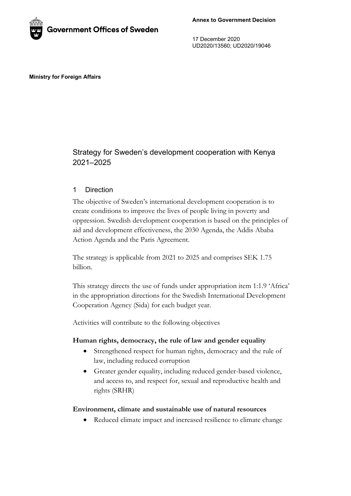

17 December 2020 UD2020/13560; UD2020/19046

#### **Ministry for Foreign Affairs**

# Strategy for Sweden's development cooperation with Kenya 2021–2025

### 1 Direction

The objective of Sweden's international development cooperation is to create conditions to improve the lives of people living in poverty and oppression. Swedish development cooperation is based on the principles of aid and development effectiveness, the 2030 Agenda, the Addis Ababa Action Agenda and the Paris Agreement.

The strategy is applicable from 2021 to 2025 and comprises SEK 1.75 billion.

This strategy directs the use of funds under appropriation item 1:1.9 'Africa' in the appropriation directions for the Swedish International Development Cooperation Agency (Sida) for each budget year.

Activities will contribute to the following objectives

#### **Human rights, democracy, the rule of law and gender equality**

- Strengthened respect for human rights, democracy and the rule of law, including reduced corruption
- Greater gender equality, including reduced gender-based violence, and access to, and respect for, sexual and reproductive health and rights (SRHR)

#### **Environment, climate and sustainable use of natural resources**

• Reduced climate impact and increased resilience to climate change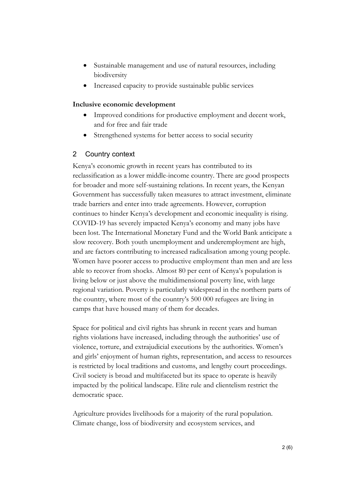- Sustainable management and use of natural resources, including biodiversity
- Increased capacity to provide sustainable public services

### **Inclusive economic development**

- Improved conditions for productive employment and decent work, and for free and fair trade
- Strengthened systems for better access to social security

## 2 Country context

Kenya's economic growth in recent years has contributed to its reclassification as a lower middle-income country. There are good prospects for broader and more self-sustaining relations. In recent years, the Kenyan Government has successfully taken measures to attract investment, eliminate trade barriers and enter into trade agreements. However, corruption continues to hinder Kenya's development and economic inequality is rising. COVID-19 has severely impacted Kenya's economy and many jobs have been lost. The International Monetary Fund and the World Bank anticipate a slow recovery. Both youth unemployment and underemployment are high, and are factors contributing to increased radicalisation among young people. Women have poorer access to productive employment than men and are less able to recover from shocks. Almost 80 per cent of Kenya's population is living below or just above the multidimensional poverty line, with large regional variation. Poverty is particularly widespread in the northern parts of the country, where most of the country's 500 000 refugees are living in camps that have housed many of them for decades.

Space for political and civil rights has shrunk in recent years and human rights violations have increased, including through the authorities' use of violence, torture, and extrajudicial executions by the authorities. Women's and girls' enjoyment of human rights, representation, and access to resources is restricted by local traditions and customs, and lengthy court proceedings. Civil society is broad and multifaceted but its space to operate is heavily impacted by the political landscape. Elite rule and clientelism restrict the democratic space.

Agriculture provides livelihoods for a majority of the rural population. Climate change, loss of biodiversity and ecosystem services, and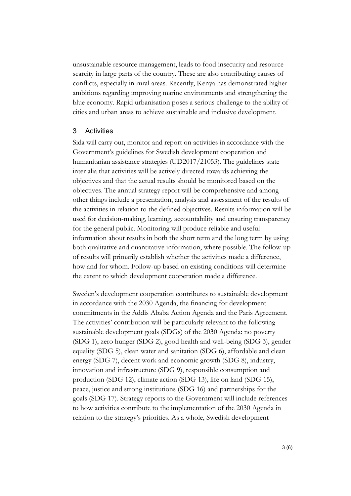unsustainable resource management, leads to food insecurity and resource scarcity in large parts of the country. These are also contributing causes of conflicts, especially in rural areas. Recently, Kenya has demonstrated higher ambitions regarding improving marine environments and strengthening the blue economy. Rapid urbanisation poses a serious challenge to the ability of cities and urban areas to achieve sustainable and inclusive development.

### 3 Activities

Sida will carry out, monitor and report on activities in accordance with the Government's guidelines for Swedish development cooperation and humanitarian assistance strategies (UD2017/21053). The guidelines state inter alia that activities will be actively directed towards achieving the objectives and that the actual results should be monitored based on the objectives. The annual strategy report will be comprehensive and among other things include a presentation, analysis and assessment of the results of the activities in relation to the defined objectives. Results information will be used for decision-making, learning, accountability and ensuring transparency for the general public. Monitoring will produce reliable and useful information about results in both the short term and the long term by using both qualitative and quantitative information, where possible. The follow-up of results will primarily establish whether the activities made a difference, how and for whom. Follow-up based on existing conditions will determine the extent to which development cooperation made a difference.

Sweden's development cooperation contributes to sustainable development in accordance with the 2030 Agenda, the financing for development commitments in the Addis Ababa Action Agenda and the Paris Agreement. The activities' contribution will be particularly relevant to the following sustainable development goals (SDGs) of the 2030 Agenda: no poverty (SDG 1), zero hunger (SDG 2), good health and well-being (SDG 3), gender equality (SDG 5), clean water and sanitation (SDG 6), affordable and clean energy (SDG 7), decent work and economic growth (SDG 8), industry, innovation and infrastructure (SDG 9), responsible consumption and production (SDG 12), climate action (SDG 13), life on land (SDG 15), peace, justice and strong institutions (SDG 16) and partnerships for the goals (SDG 17). Strategy reports to the Government will include references to how activities contribute to the implementation of the 2030 Agenda in relation to the strategy's priorities. As a whole, Swedish development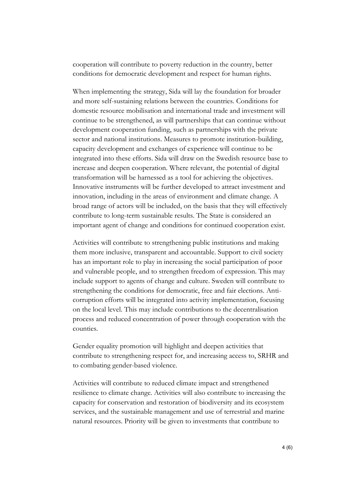cooperation will contribute to poverty reduction in the country, better conditions for democratic development and respect for human rights.

When implementing the strategy, Sida will lay the foundation for broader and more self-sustaining relations between the countries. Conditions for domestic resource mobilisation and international trade and investment will continue to be strengthened, as will partnerships that can continue without development cooperation funding, such as partnerships with the private sector and national institutions. Measures to promote institution-building, capacity development and exchanges of experience will continue to be integrated into these efforts. Sida will draw on the Swedish resource base to increase and deepen cooperation. Where relevant, the potential of digital transformation will be harnessed as a tool for achieving the objectives. Innovative instruments will be further developed to attract investment and innovation, including in the areas of environment and climate change. A broad range of actors will be included, on the basis that they will effectively contribute to long-term sustainable results. The State is considered an important agent of change and conditions for continued cooperation exist.

Activities will contribute to strengthening public institutions and making them more inclusive, transparent and accountable. Support to civil society has an important role to play in increasing the social participation of poor and vulnerable people, and to strengthen freedom of expression. This may include support to agents of change and culture. Sweden will contribute to strengthening the conditions for democratic, free and fair elections. Anticorruption efforts will be integrated into activity implementation, focusing on the local level. This may include contributions to the decentralisation process and reduced concentration of power through cooperation with the counties.

Gender equality promotion will highlight and deepen activities that contribute to strengthening respect for, and increasing access to, SRHR and to combating gender-based violence.

Activities will contribute to reduced climate impact and strengthened resilience to climate change. Activities will also contribute to increasing the capacity for conservation and restoration of biodiversity and its ecosystem services, and the sustainable management and use of terrestrial and marine natural resources. Priority will be given to investments that contribute to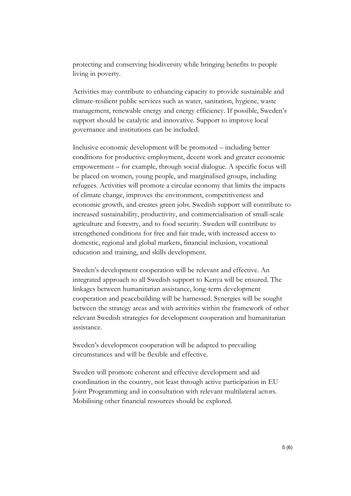protecting and conserving biodiversity while bringing benefits to people living in poverty.

Activities may contribute to enhancing capacity to provide sustainable and climate-resilient public services such as water, sanitation, hygiene, waste management, renewable energy and energy efficiency. If possible, Sweden's support should be catalytic and innovative. Support to improve local governance and institutions can be included.

Inclusive economic development will be promoted – including better conditions for productive employment, decent work and greater economic empowerment – for example, through social dialogue. A specific focus will be placed on women, young people, and marginalised groups, including refugees. Activities will promote a circular economy that limits the impacts of climate change, improves the environment, competitiveness and economic growth, and creates green jobs. Swedish support will contribute to increased sustainability, productivity, and commercialisation of small-scale agriculture and forestry, and to food security. Sweden will contribute to strengthened conditions for free and fair trade, with increased access to domestic, regional and global markets, financial inclusion, vocational education and training, and skills development.

Sweden's development cooperation will be relevant and effective. An integrated approach to all Swedish support to Kenya will be ensured. The linkages between humanitarian assistance, long-term development cooperation and peacebuilding will be harnessed. Synergies will be sought between the strategy areas and with activities within the framework of other relevant Swedish strategies for development cooperation and humanitarian assistance.

Sweden's development cooperation will be adapted to prevailing circumstances and will be flexible and effective.

Sweden will promote coherent and effective development and aid coordination in the country, not least through active participation in EU Joint Programming and in consultation with relevant multilateral actors. Mobilising other financial resources should be explored.